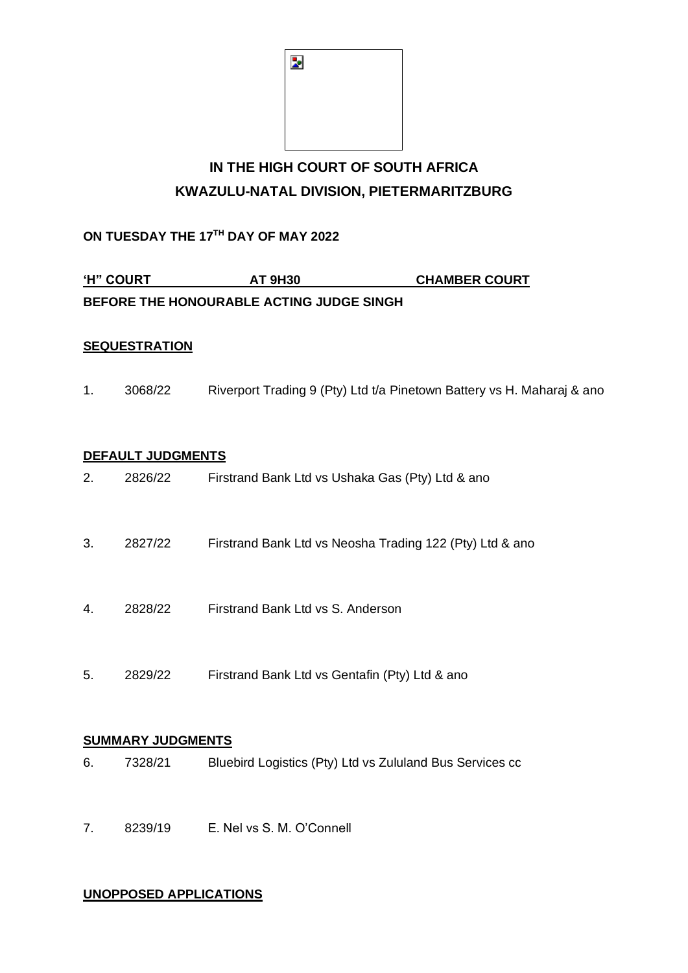

# **IN THE HIGH COURT OF SOUTH AFRICA KWAZULU-NATAL DIVISION, PIETERMARITZBURG**

## **ON TUESDAY THE 17 TH DAY OF MAY 2022**

| <b>'H" COURT</b>                         | <b>AT 9H30</b> | <b>CHAMBER COURT</b> |
|------------------------------------------|----------------|----------------------|
| BEFORE THE HONOURABLE ACTING JUDGE SINGH |                |                      |

#### **SEQUESTRATION**

1. 3068/22 Riverport Trading 9 (Pty) Ltd t/a Pinetown Battery vs H. Maharaj & ano

#### **DEFAULT JUDGMENTS**

| 6. | 7328/21                  | Bluebird Logistics (Pty) Ltd vs Zululand Bus Services cc |
|----|--------------------------|----------------------------------------------------------|
|    | <b>SUMMARY JUDGMENTS</b> |                                                          |
| 5. | 2829/22                  | Firstrand Bank Ltd vs Gentafin (Pty) Ltd & ano           |
| 4. | 2828/22                  | Firstrand Bank Ltd vs S. Anderson                        |
| 3. | 2827/22                  | Firstrand Bank Ltd vs Neosha Trading 122 (Pty) Ltd & and |
| 2. | 2826/22                  | Firstrand Bank Ltd vs Ushaka Gas (Pty) Ltd & ano         |

7. 8239/19 E. Nel vs S. M. O'Connell

#### **UNOPPOSED APPLICATIONS**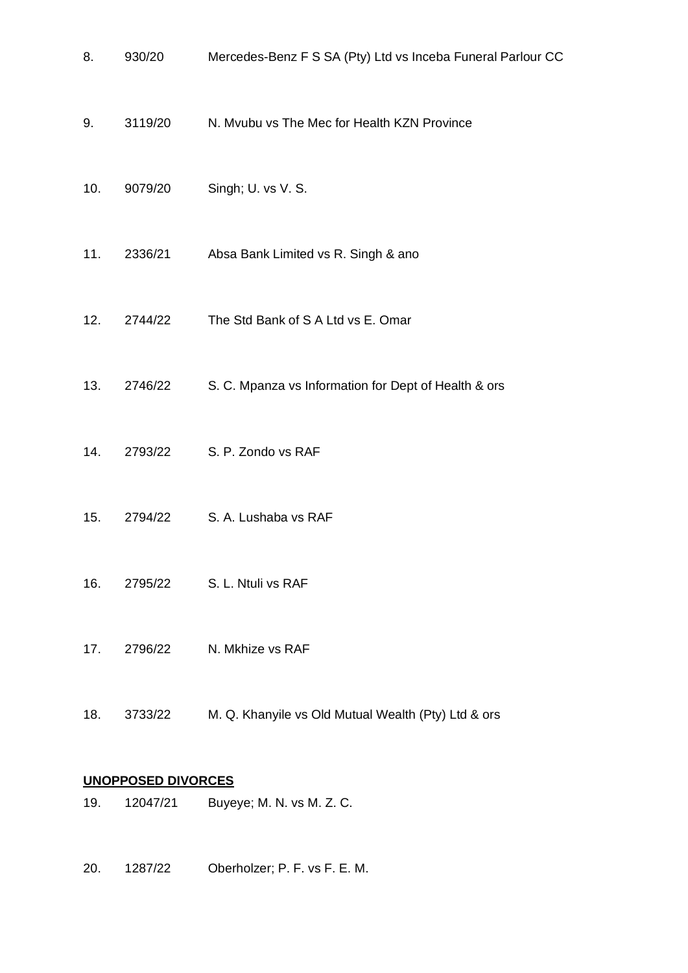| 8.  | 930/20  | Mercedes-Benz F S SA (Pty) Ltd vs Inceba Funeral Parlour CC |
|-----|---------|-------------------------------------------------------------|
| 9.  | 3119/20 | N. Mvubu vs The Mec for Health KZN Province                 |
| 10. | 9079/20 | Singh; U. vs V. S.                                          |
| 11. | 2336/21 | Absa Bank Limited vs R. Singh & ano                         |
| 12. | 2744/22 | The Std Bank of S A Ltd vs E. Omar                          |
| 13. | 2746/22 | S. C. Mpanza vs Information for Dept of Health & ors        |
| 14. | 2793/22 | S. P. Zondo vs RAF                                          |
| 15. | 2794/22 | S. A. Lushaba vs RAF                                        |
| 16. | 2795/22 | S. L. Ntuli vs RAF                                          |
| 17. | 2796/22 | N. Mkhize vs RAF                                            |
| 18. | 3733/22 | M. Q. Khanyile vs Old Mutual Wealth (Pty) Ltd & ors         |
|     |         |                                                             |

## **UNOPPOSED DIVORCES**

- 19. 12047/21 Buyeye; M. N. vs M. Z. C.
- 20. 1287/22 Oberholzer; P. F. vs F. E. M.